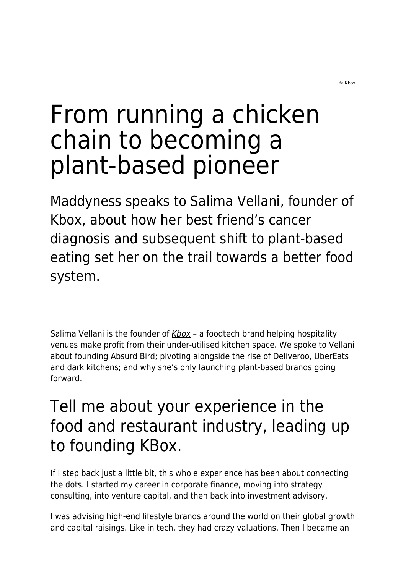# From running a chicken chain to becoming a plant-based pioneer

Maddyness speaks to Salima Vellani, founder of Kbox, about how her best friend's cancer diagnosis and subsequent shift to plant-based eating set her on the trail towards a better food system.

Salima Vellani is the founder of  $Kbox Kbox -$  a foodtech brand helping hospitality venues make profit from their under-utilised kitchen space. We spoke to Vellani about founding Absurd Bird; pivoting alongside the rise of Deliveroo, UberEats and dark kitchens; and why she's only launching plant-based brands going forward.

## Tell me about your experience in the food and restaurant industry, leading up to founding KBox.

If I step back just a little bit, this whole experience has been about connecting the dots. I started my career in corporate finance, moving into strategy consulting, into venture capital, and then back into investment advisory.

I was advising high-end lifestyle brands around the world on their global growth and capital raisings. Like in tech, they had crazy valuations. Then I became an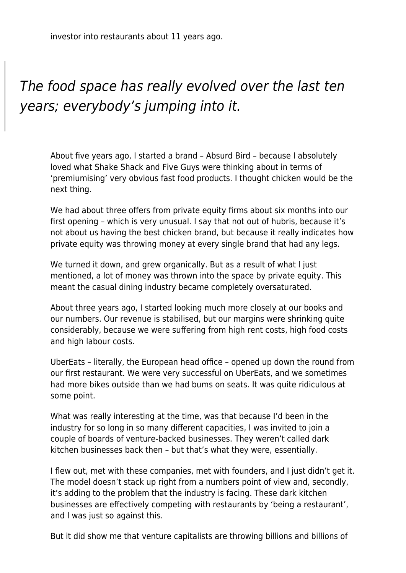investor into restaurants about 11 years ago.

### The food space has really evolved over the last ten years; everybody's jumping into it.

About five years ago, I started a brand – Absurd Bird – because I absolutely loved what Shake Shack and Five Guys were thinking about in terms of 'premiumising' very obvious fast food products. I thought chicken would be the next thing.

We had about three offers from private equity firms about six months into our first opening – which is very unusual. I say that not out of hubris, because it's not about us having the best chicken brand, but because it really indicates how private equity was throwing money at every single brand that had any legs.

We turned it down, and grew organically. But as a result of what I just mentioned, a lot of money was thrown into the space by private equity. This meant the casual dining industry became completely oversaturated.

About three years ago, I started looking much more closely at our books and our numbers. Our revenue is stabilised, but our margins were shrinking quite considerably, because we were suffering from high rent costs, high food costs and high labour costs.

UberEats – literally, the European head office – opened up down the round from our first restaurant. We were very successful on UberEats, and we sometimes had more bikes outside than we had bums on seats. It was quite ridiculous at some point.

What was really interesting at the time, was that because I'd been in the industry for so long in so many different capacities, I was invited to join a couple of boards of venture-backed businesses. They weren't called dark kitchen businesses back then – but that's what they were, essentially.

I flew out, met with these companies, met with founders, and I just didn't get it. The model doesn't stack up right from a numbers point of view and, secondly, it's adding to the problem that the industry is facing. These dark kitchen businesses are effectively competing with restaurants by 'being a restaurant', and I was just so against this.

But it did show me that venture capitalists are throwing billions and billions of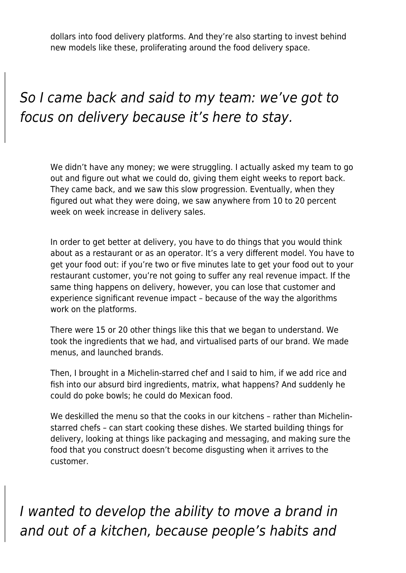dollars into food delivery platforms. And they're also starting to invest behind new models like these, proliferating around the food delivery space.

#### So I came back and said to my team: we've got to focus on delivery because it's here to stay.

We didn't have any money; we were struggling. I actually asked my team to go out and figure out what we could do, giving them eight weeks to report back. They came back, and we saw this slow progression. Eventually, when they figured out what they were doing, we saw anywhere from 10 to 20 percent week on week increase in delivery sales.

In order to get better at delivery, you have to do things that you would think about as a restaurant or as an operator. It's a very different model. You have to get your food out: if you're two or five minutes late to get your food out to your restaurant customer, you're not going to suffer any real revenue impact. If the same thing happens on delivery, however, you can lose that customer and experience significant revenue impact – because of the way the algorithms work on the platforms.

There were 15 or 20 other things like this that we began to understand. We took the ingredients that we had, and virtualised parts of our brand. We made menus, and launched brands.

Then, I brought in a Michelin-starred chef and I said to him, if we add rice and fish into our absurd bird ingredients, matrix, what happens? And suddenly he could do poke bowls; he could do Mexican food.

We deskilled the menu so that the cooks in our kitchens – rather than Michelinstarred chefs – can start cooking these dishes. We started building things for delivery, looking at things like packaging and messaging, and making sure the food that you construct doesn't become disgusting when it arrives to the customer.

I wanted to develop the ability to move a brand in and out of a kitchen, because people's habits and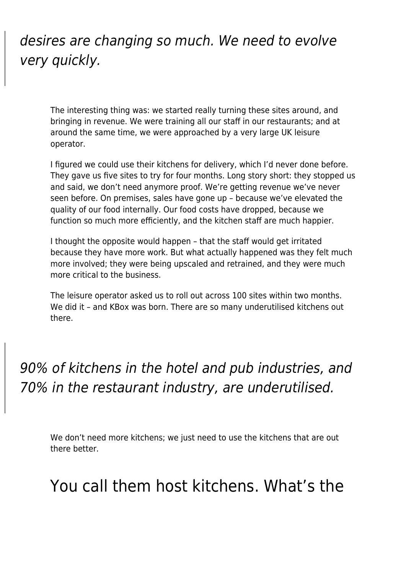#### desires are changing so much. We need to evolve very quickly.

The interesting thing was: we started really turning these sites around, and bringing in revenue. We were training all our staff in our restaurants; and at around the same time, we were approached by a very large UK leisure operator.

I figured we could use their kitchens for delivery, which I'd never done before. They gave us five sites to try for four months. Long story short: they stopped us and said, we don't need anymore proof. We're getting revenue we've never seen before. On premises, sales have gone up – because we've elevated the quality of our food internally. Our food costs have dropped, because we function so much more efficiently, and the kitchen staff are much happier.

I thought the opposite would happen – that the staff would get irritated because they have more work. But what actually happened was they felt much more involved; they were being upscaled and retrained, and they were much more critical to the business.

The leisure operator asked us to roll out across 100 sites within two months. We did it - and KBox was born. There are so many underutilised kitchens out there.

90% of kitchens in the hotel and pub industries, and 70% in the restaurant industry, are underutilised.

We don't need more kitchens; we just need to use the kitchens that are out there better.

#### You call them host kitchens. What's the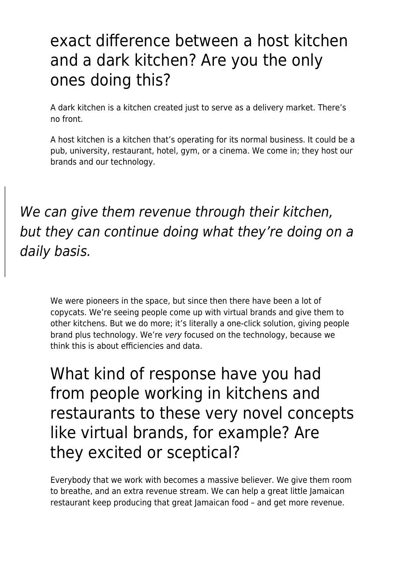## exact difference between a host kitchen and a dark kitchen? Are you the only ones doing this?

A dark kitchen is a kitchen created just to serve as a delivery market. There's no front.

A host kitchen is a kitchen that's operating for its normal business. It could be a pub, university, restaurant, hotel, gym, or a cinema. We come in; they host our brands and our technology.

We can give them revenue through their kitchen, but they can continue doing what they're doing on a daily basis.

We were pioneers in the space, but since then there have been a lot of copycats. We're seeing people come up with virtual brands and give them to other kitchens. But we do more; it's literally a one-click solution, giving people brand plus technology. We're very focused on the technology, because we think this is about efficiencies and data.

What kind of response have you had from people working in kitchens and restaurants to these very novel concepts like virtual brands, for example? Are they excited or sceptical?

Everybody that we work with becomes a massive believer. We give them room to breathe, and an extra revenue stream. We can help a great little Jamaican restaurant keep producing that great Jamaican food – and get more revenue.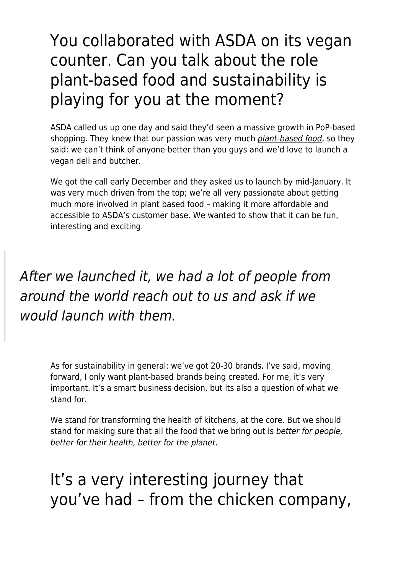## You collaborated with ASDA on its vegan counter. Can you talk about the role plant-based food and sustainability is playing for you at the moment?

ASDA called us up one day and said they'd seen a massive growth in PoP-based shopping. They knew that our passion was very much [plant-based food](https://www.maddyness.com/uk/2021/01/27/this-freezer-aisle-favourite-has-been-touted-the-next-oatly/), so they said: we can't think of anyone better than you guys and we'd love to launch a vegan deli and butcher.

We got the call early December and they asked us to launch by mid-January. It was very much driven from the top; we're all very passionate about getting much more involved in plant based food – making it more affordable and accessible to ASDA's customer base. We wanted to show that it can be fun, interesting and exciting.

After we launched it, we had a lot of people from around the world reach out to us and ask if we would launch with them.

> As for sustainability in general: we've got 20-30 brands. I've said, moving forward, I only want plant-based brands being created. For me, it's very important. It's a smart business decision, but its also a question of what we stand for.

We stand for transforming the health of kitchens, at the core. But we should stand for making sure that all the food that we bring out is [better for people,](https://www.maddyness.com/uk/2021/03/31/an-interview-with-meatless-farm-founder-morten-toft-bech/) [better for their health, better for the planet](https://www.maddyness.com/uk/2021/03/31/an-interview-with-meatless-farm-founder-morten-toft-bech/).

It's a very interesting journey that you've had – from the chicken company,